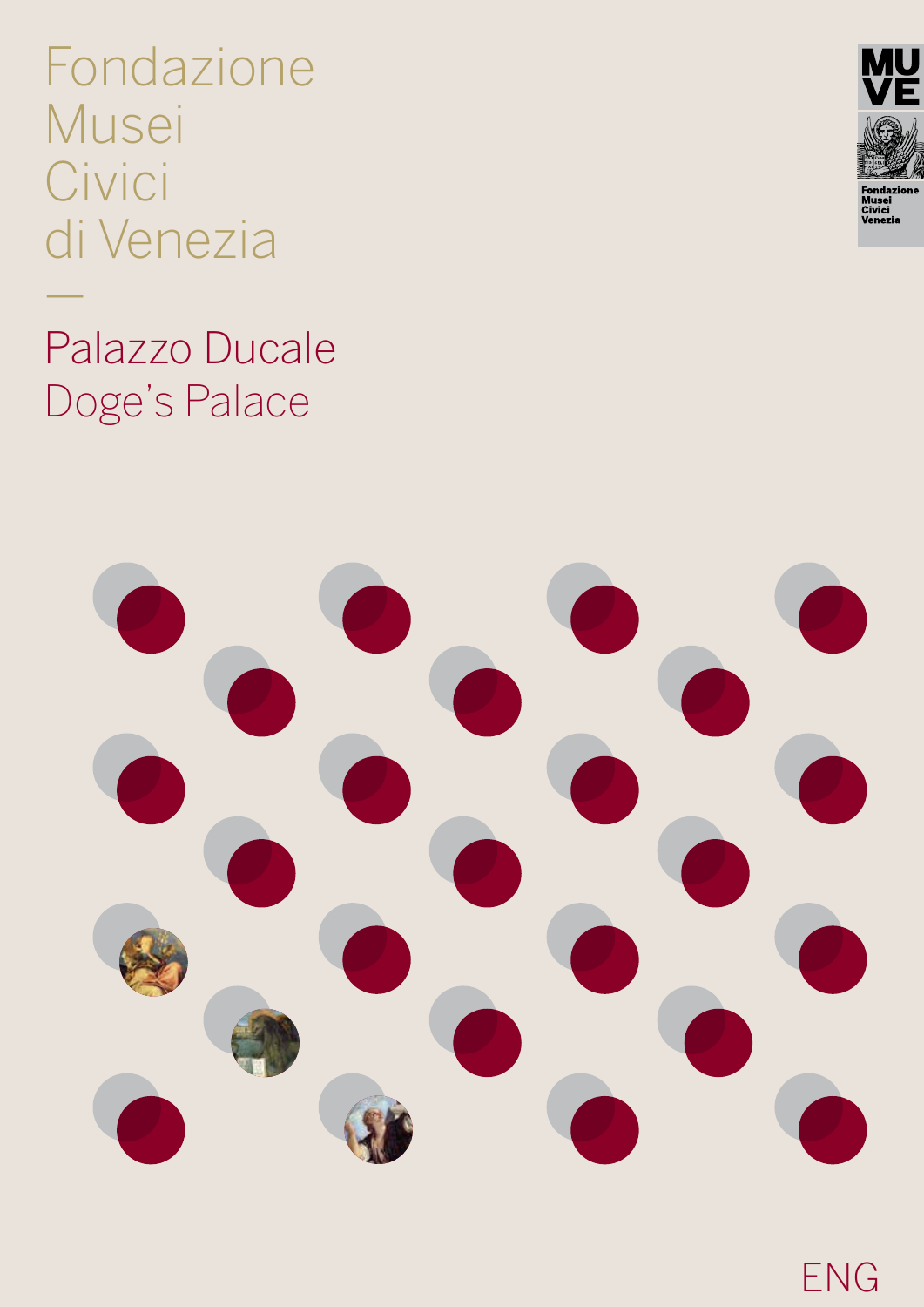Fondazione Musei Civici di Venezia

Palazzo Ducale Doge's Palace

—



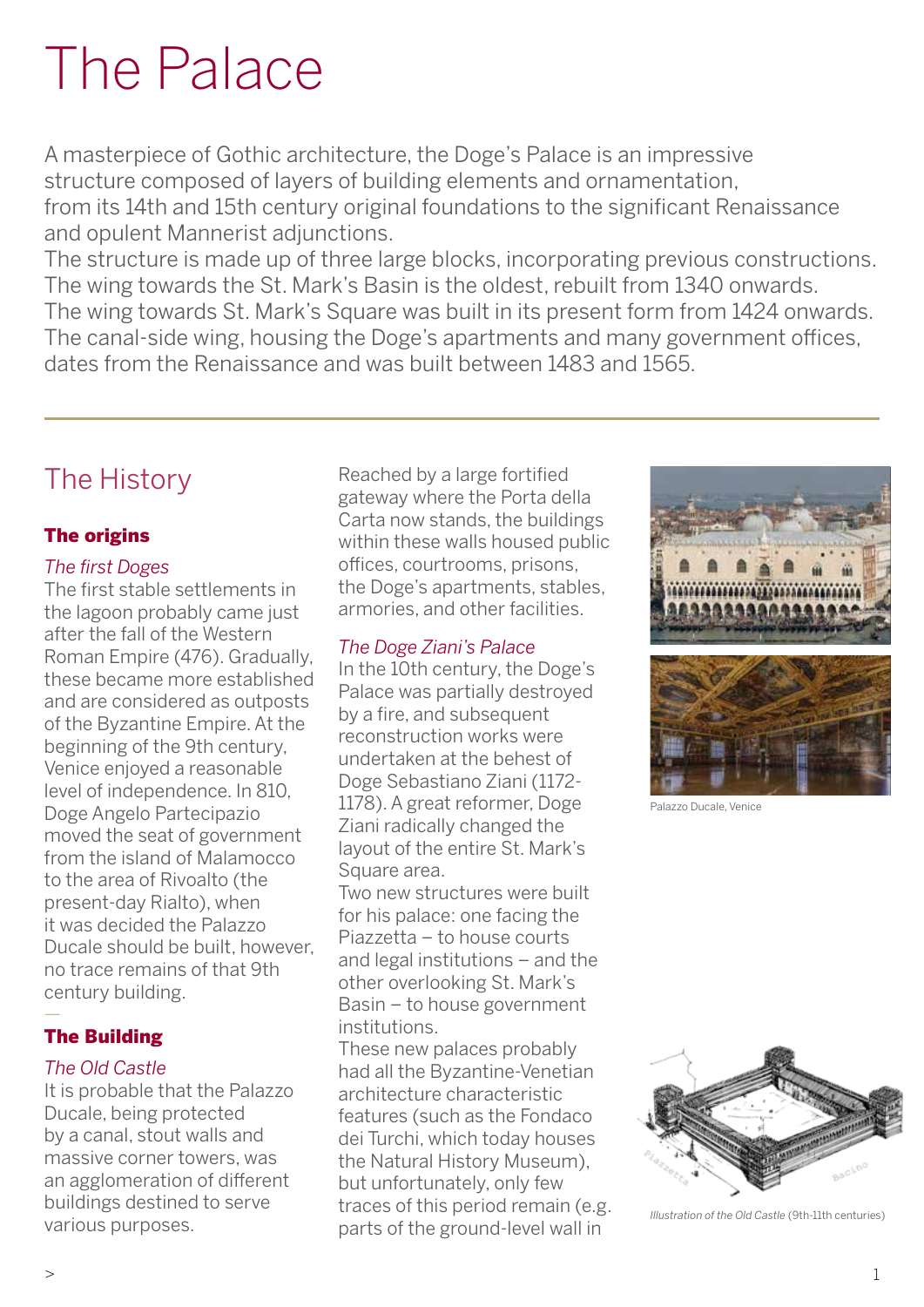# The Palace

A masterpiece of Gothic architecture, the Doge's Palace is an impressive structure composed of layers of building elements and ornamentation, from its 14th and 15th century original foundations to the significant Renaissance and opulent Mannerist adjunctions.

The structure is made up of three large blocks, incorporating previous constructions. The wing towards the St. Mark's Basin is the oldest, rebuilt from 1340 onwards. The wing towards St. Mark's Square was built in its present form from 1424 onwards. The canal-side wing, housing the Doge's apartments and many government offices, dates from the Renaissance and was built between 1483 and 1565.

# The History

## The origins

#### *The first Doges*

The first stable settlements in the lagoon probably came just after the fall of the Western Roman Empire (476). Gradually, these became more established and are considered as outposts of the Byzantine Empire. At the beginning of the 9th century, Venice enjoyed a reasonable level of independence. In 810, Doge Angelo Partecipazio moved the seat of government from the island of Malamocco to the area of Rivoalto (the present-day Rialto), when it was decided the Palazzo Ducale should be built, however, no trace remains of that 9th century building. —

## The Building

#### *The Old Castle*

It is probable that the Palazzo Ducale, being protected by a canal, stout walls and massive corner towers, was an agglomeration of different buildings destined to serve various purposes.

Reached by a large fortified gateway where the Porta della Carta now stands, the buildings within these walls housed public offices, courtrooms, prisons, the Doge's apartments, stables, armories, and other facilities.

### *The Doge Ziani's Palace*

In the 10th century, the Doge's Palace was partially destroyed by a fire, and subsequent reconstruction works were undertaken at the behest of Doge Sebastiano Ziani (1172- 1178). A great reformer, Doge Ziani radically changed the layout of the entire St. Mark's Square area.

Two new structures were built for his palace: one facing the Piazzetta – to house courts and legal institutions – and the other overlooking St. Mark's Basin – to house government institutions.

These new palaces probably had all the Byzantine-Venetian architecture characteristic features (such as the Fondaco dei Turchi, which today houses the Natural History Museum), but unfortunately, only few traces of this period remain (e.g. parts of the ground-level wall in

Palazzo Ducale, Venice

*Illustration of the Old Castle* (9th-11th centuries)

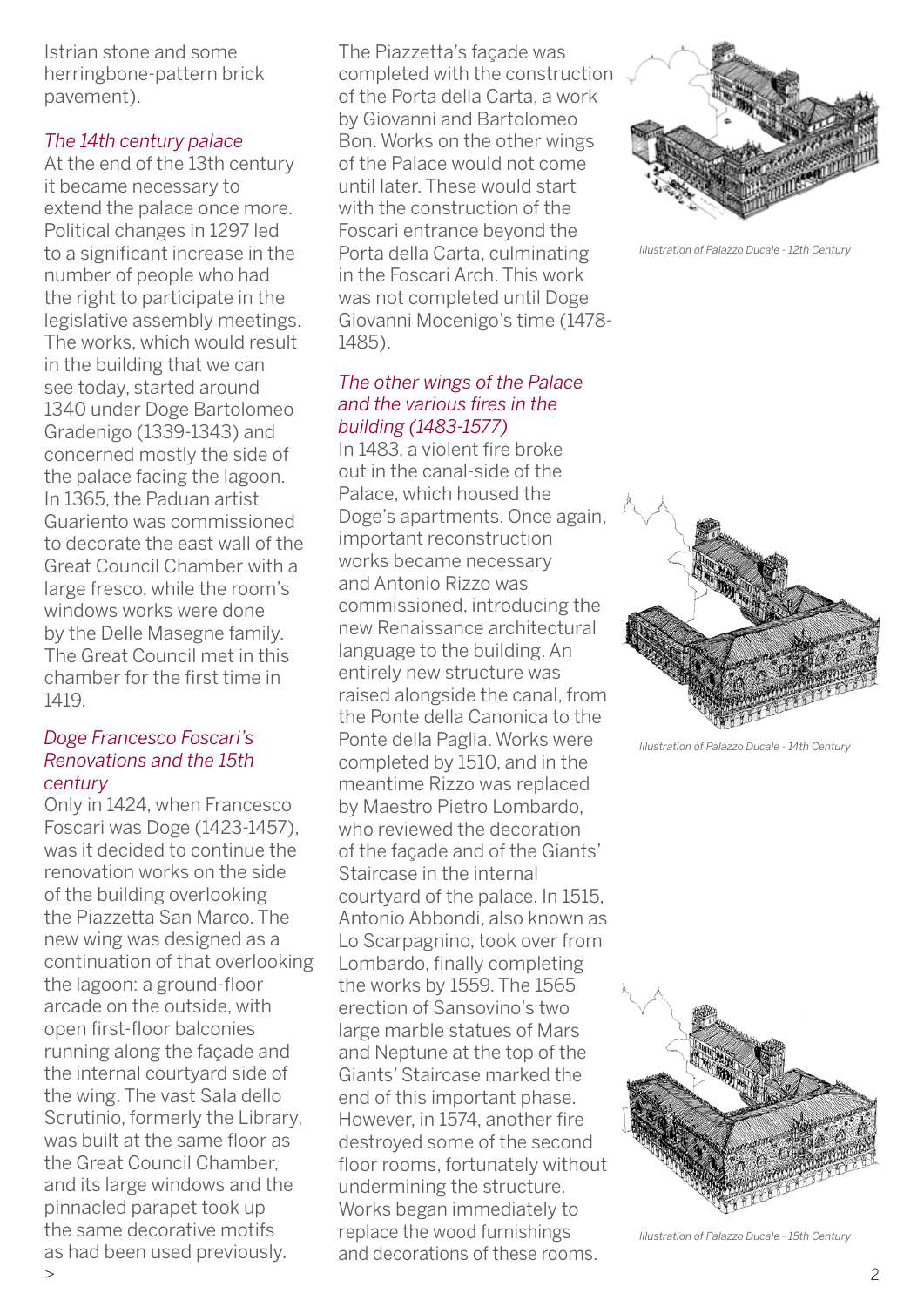Istrian stone and some herringbone-pattern brick pavement).

#### *The 14th century palace*

At the end of the 13th century it became necessary to extend the palace once more. Political changes in 1297 led to a significant increase in the number of people who had the right to participate in the legislative assembly meetings. The works, which would result in the building that we can see today, started around 1340 under Doge Bartolomeo Gradenigo (1339-1343) and concerned mostly the side of the palace facing the lagoon. In 1365, the Paduan artist Guariento was commissioned to decorate the east wall of the Great Council Chamber with a large fresco, while the room's windows works were done by the Delle Masegne family. The Great Council met in this chamber for the first time in 1419.

#### *Doge Francesco Foscari's Renovations and the 15th century*

Only in 1424, when Francesco Foscari was Doge (1423-1457), was it decided to continue the renovation works on the side of the building overlooking the Piazzetta San Marco. The new wing was designed as a continuation of that overlooking the lagoon: a ground-floor arcade on the outside, with open first-floor balconies running along the façade and the internal courtyard side of the wing. The vast Sala dello Scrutinio, formerly the Library, was built at the same floor as the Great Council Chamber, and its large windows and the pinnacled parapet took up the same decorative motifs as had been used previously.

The Piazzetta's façade was completed with the construction of the Porta della Carta, a work by Giovanni and Bartolomeo Bon. Works on the other wings of the Palace would not come until later. These would start with the construction of the Foscari entrance beyond the Porta della Carta, culminating in the Foscari Arch. This work was not completed until Doge Giovanni Mocenigo's time (1478- 1485).

#### *The other wings of the Palace and the various fires in the building (1483-1577)*

In 1483, a violent fire broke out in the canal-side of the Palace, which housed the Doge's apartments. Once again, important reconstruction works became necessary and Antonio Rizzo was commissioned, introducing the new Renaissance architectural language to the building. An entirely new structure was raised alongside the canal, from the Ponte della Canonica to the Ponte della Paglia. Works were completed by 1510, and in the meantime Rizzo was replaced by Maestro Pietro Lombardo, who reviewed the decoration of the façade and of the Giants' Staircase in the internal courtyard of the palace. In 1515, Antonio Abbondi, also known as Lo Scarpagnino, took over from Lombardo, finally completing the works by 1559. The 1565 erection of Sansovino's two large marble statues of Mars and Neptune at the top of the Giants' Staircase marked the end of this important phase. However, in 1574, another fire destroyed some of the second floor rooms, fortunately without undermining the structure. Works began immediately to replace the wood furnishings and decorations of these rooms.



*Illustration of Palazzo Ducale - 12th Century*



*Illustration of Palazzo Ducale - 14th Century*



*Illustration of Palazzo Ducale - 15th Century*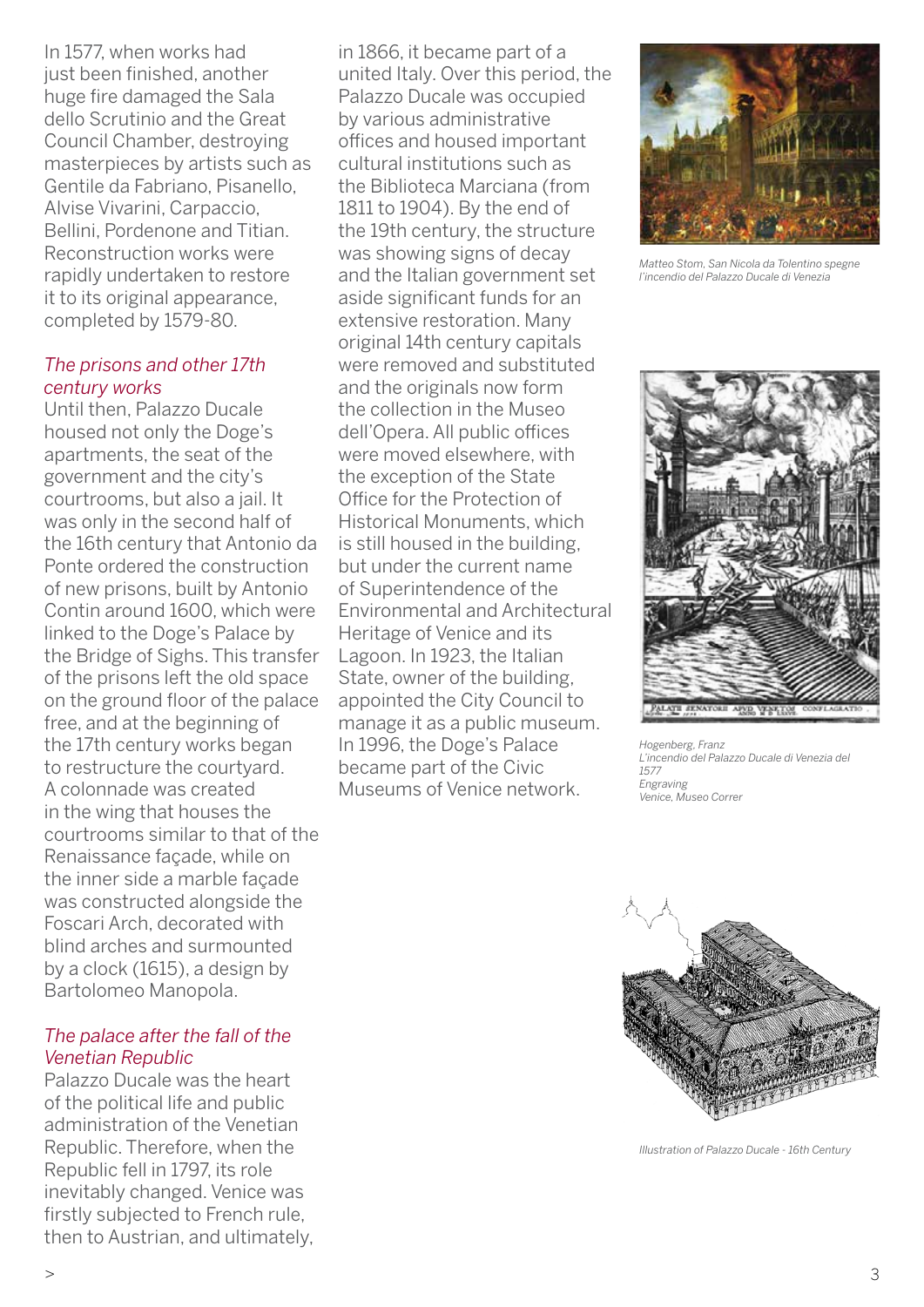In 1577, when works had just been finished, another huge fire damaged the Sala dello Scrutinio and the Great Council Chamber, destroying masterpieces by artists such as Gentile da Fabriano, Pisanello, Alvise Vivarini, Carpaccio, Bellini, Pordenone and Titian. Reconstruction works were rapidly undertaken to restore it to its original appearance, completed by 1579-80.

#### *The prisons and other 17th century works*

Until then, Palazzo Ducale housed not only the Doge's apartments, the seat of the government and the city's courtrooms, but also a jail. It was only in the second half of the 16th century that Antonio da Ponte ordered the construction of new prisons, built by Antonio Contin around 1600, which were linked to the Doge's Palace by the Bridge of Sighs. This transfer of the prisons left the old space on the ground floor of the palace free, and at the beginning of the 17th century works began to restructure the courtyard. A colonnade was created in the wing that houses the courtrooms similar to that of the Renaissance façade, while on the inner side a marble façade was constructed alongside the Foscari Arch, decorated with blind arches and surmounted by a clock (1615), a design by Bartolomeo Manopola.

#### *The palace after the fall of the Venetian Republic*

Palazzo Ducale was the heart of the political life and public administration of the Venetian Republic. Therefore, when the Republic fell in 1797, its role inevitably changed. Venice was firstly subjected to French rule, then to Austrian, and ultimately,

in 1866, it became part of a united Italy. Over this period, the Palazzo Ducale was occupied by various administrative offices and housed important cultural institutions such as the Biblioteca Marciana (from 1811 to 1904). By the end of the 19th century, the structure was showing signs of decay and the Italian government set aside significant funds for an extensive restoration. Many original 14th century capitals were removed and substituted and the originals now form the collection in the Museo dell'Opera. All public offices were moved elsewhere, with the exception of the State Office for the Protection of Historical Monuments, which is still housed in the building, but under the current name of Superintendence of the Environmental and Architectural Heritage of Venice and its Lagoon. In 1923, the Italian State, owner of the building, appointed the City Council to manage it as a public museum. In 1996, the Doge's Palace became part of the Civic Museums of Venice network.



*Matteo Stom, San Nicola da Tolentino spegne l'incendio del Palazzo Ducale di Venezia*



*Hogenberg, Franz L'incendio del Palazzo Ducale di Venezia del 1577 Engraving Venice, Museo Correr*



*Illustration of Palazzo Ducale - 16th Century*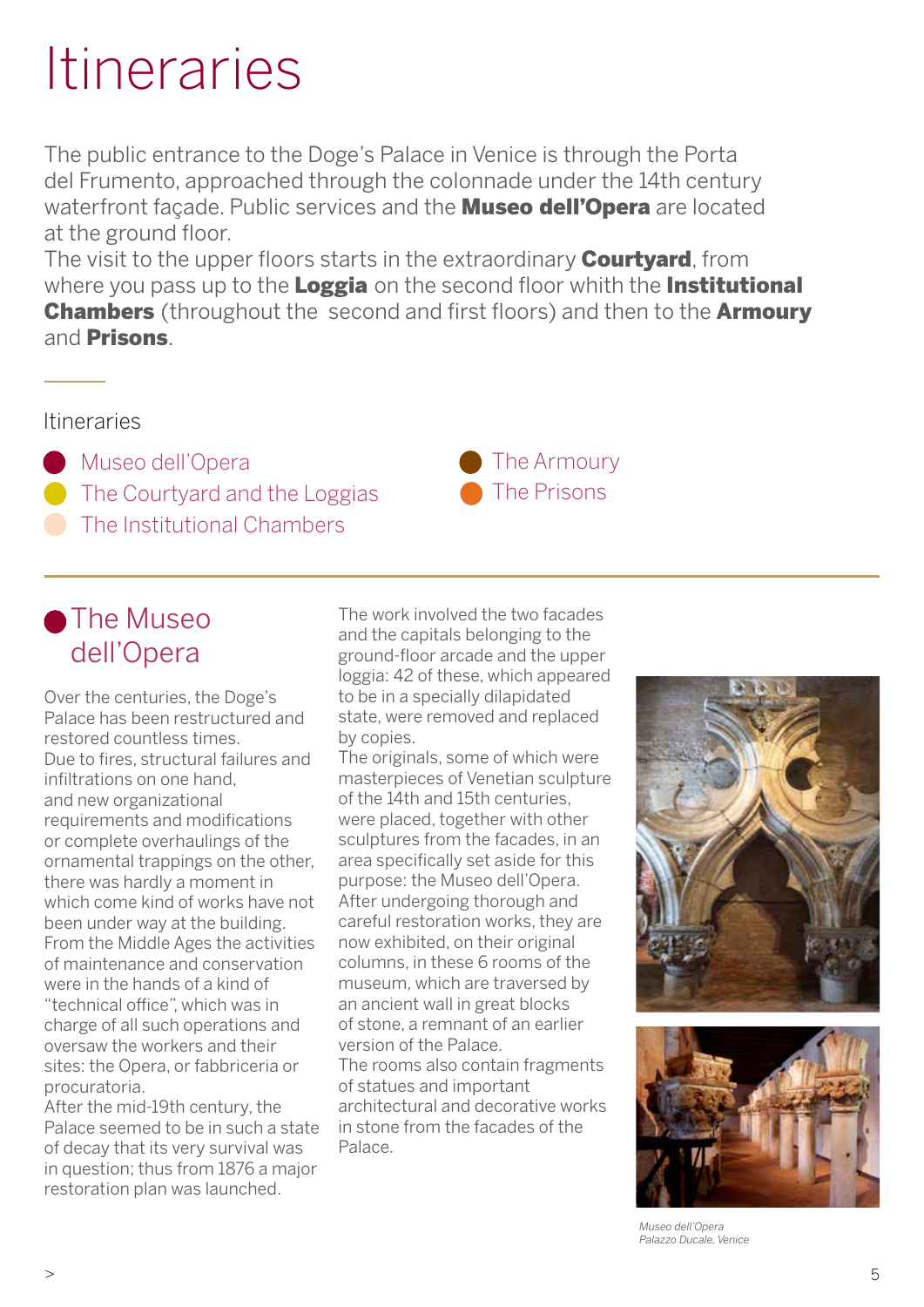The public entrance to the Doge's Palace in Venice is through the Porta del Frumento, approached through the colonnade under the 14th century waterfront façade. Public services and the **Museo dell'Opera** are located at the ground floor.

The visit to the upper floors starts in the extraordinary **Courtyard**, from where you pass up to the **Loggia** on the second floor whith the **Institutional Chambers** (throughout the second and first floors) and then to the **Armoury** and **Prisons** 

### Itineraries

**Museo dell'Opera** The Courtyard and the Loggias The Institutional Chambers

## **The Museo** dell'Opera

Over the centuries, the Doge's Palace has been restructured and restored countless times. Due to fires, structural failures and infiltrations on one hand, and new organizational requirements and modifications or complete overhaulings of the ornamental trappings on the other, there was hardly a moment in which come kind of works have not been under way at the building. From the Middle Ages the activities of maintenance and conservation were in the hands of a kind of "technical office", which was in charge of all such operations and oversaw the workers and their sites: the Opera, or fabbriceria or procuratoria.

After the mid-19th century, the Palace seemed to be in such a state of decay that its very survival was in question; thus from 1876 a major restoration plan was launched.

The work involved the two facades and the capitals belonging to the ground-floor arcade and the upper loggia: 42 of these, which appeared to be in a specially dilapidated state, were removed and replaced by copies.

The originals, some of which were masterpieces of Venetian sculpture of the 14th and 15th centuries, were placed, together with other sculptures from the facades, in an area specifically set aside for this purpose: the Museo dell'Opera. After undergoing thorough and careful restoration works, they are now exhibited, on their original columns, in these 6 rooms of the museum, which are traversed by an ancient wall in great blocks of stone, a remnant of an earlier version of the Palace. The rooms also contain fragments of statues and important architectural and decorative works in stone from the facades of the Palace.





*Museo dell'Opera Palazzo Ducale, Venice*

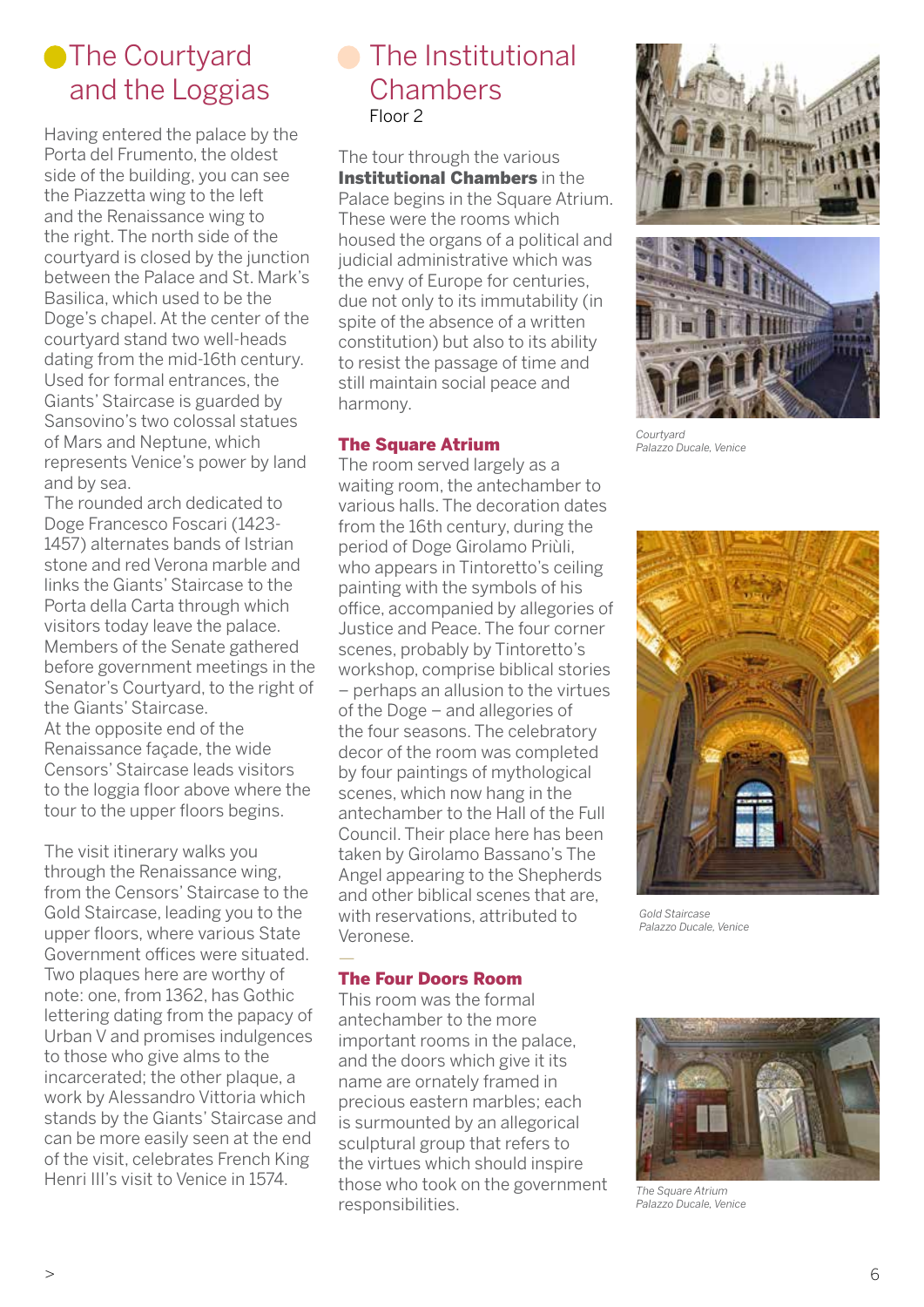# **The Courtyard** and the Loggias

Having entered the palace by the Porta del Frumento, the oldest side of the building, you can see the Piazzetta wing to the left and the Renaissance wing to the right. The north side of the courtyard is closed by the junction between the Palace and St. Mark's Basilica, which used to be the Doge's chapel. At the center of the courtyard stand two well-heads dating from the mid-16th century. Used for formal entrances, the Giants' Staircase is guarded by Sansovino's two colossal statues of Mars and Neptune, which represents Venice's power by land and by sea.

The rounded arch dedicated to Doge Francesco Foscari (1423- 1457) alternates bands of Istrian stone and red Verona marble and links the Giants' Staircase to the Porta della Carta through which visitors today leave the palace. Members of the Senate gathered before government meetings in the Senator's Courtyard, to the right of the Giants' Staircase. At the opposite end of the Renaissance façade, the wide Censors' Staircase leads visitors to the loggia floor above where the tour to the upper floors begins.

The visit itinerary walks you through the Renaissance wing, from the Censors' Staircase to the Gold Staircase, leading you to the upper floors, where various State Government offices were situated. Two plaques here are worthy of note: one, from 1362, has Gothic lettering dating from the papacy of Urban V and promises indulgences to those who give alms to the incarcerated; the other plaque, a work by Alessandro Vittoria which stands by the Giants' Staircase and can be more easily seen at the end of the visit, celebrates French King Henri III's visit to Venice in 1574.

## **C** The Institutional **Chambers** Floor 2

The tour through the various Institutional Chambers in the Palace begins in the Square Atrium. These were the rooms which housed the organs of a political and judicial administrative which was the envy of Europe for centuries, due not only to its immutability (in spite of the absence of a written constitution) but also to its ability to resist the passage of time and still maintain social peace and harmony.

#### The Square Atrium

The room served largely as a waiting room, the antechamber to various halls. The decoration dates from the 16th century, during the period of Doge Girolamo Priùli, who appears in Tintoretto's ceiling painting with the symbols of his office, accompanied by allegories of Justice and Peace. The four corner scenes, probably by Tintoretto's workshop, comprise biblical stories – perhaps an allusion to the virtues of the Doge – and allegories of the four seasons. The celebratory decor of the room was completed by four paintings of mythological scenes, which now hang in the antechamber to the Hall of the Full Council. Their place here has been taken by Girolamo Bassano's The Angel appearing to the Shepherds and other biblical scenes that are, with reservations, attributed to Veronese.

#### The Four Doors Room

—

This room was the formal antechamber to the more important rooms in the palace, and the doors which give it its name are ornately framed in precious eastern marbles; each is surmounted by an allegorical sculptural group that refers to the virtues which should inspire those who took on the government responsibilities.





*Courtyard Palazzo Ducale, Venice*



*Gold Staircase Palazzo Ducale, Venice*



*The Square Atrium Palazzo Ducale, Venice*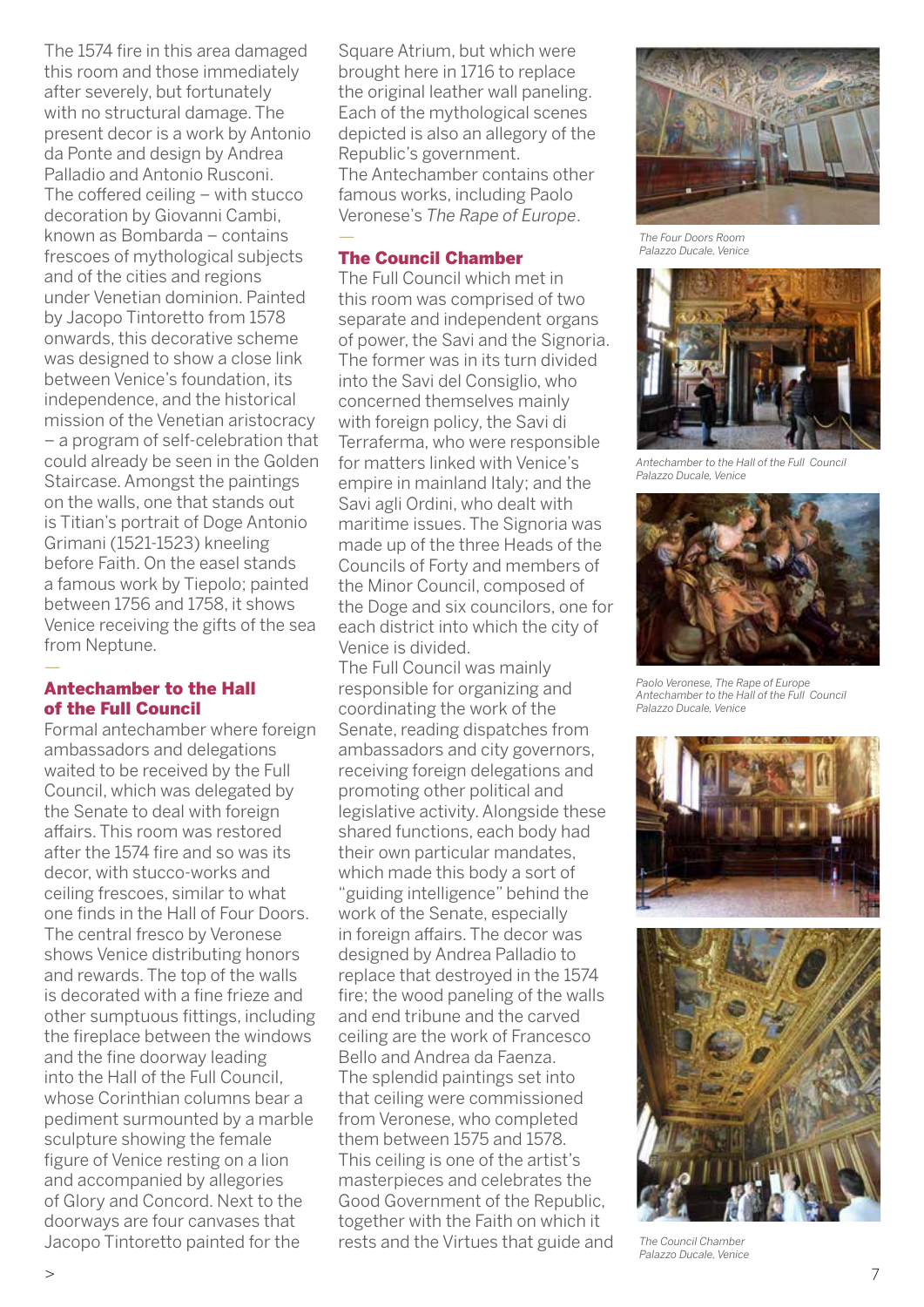The 1574 fire in this area damaged this room and those immediately after severely, but fortunately with no structural damage. The present decor is a work by Antonio da Ponte and design by Andrea Palladio and Antonio Rusconi. The coffered ceiling – with stucco decoration by Giovanni Cambi, known as Bombarda – contains frescoes of mythological subjects and of the cities and regions under Venetian dominion. Painted by Jacopo Tintoretto from 1578 onwards, this decorative scheme was designed to show a close link between Venice's foundation, its independence, and the historical mission of the Venetian aristocracy – a program of self-celebration that could already be seen in the Golden Staircase. Amongst the paintings on the walls, one that stands out is Titian's portrait of Doge Antonio Grimani (1521-1523) kneeling before Faith. On the easel stands a famous work by Tiepolo; painted between 1756 and 1758, it shows Venice receiving the gifts of the sea from Neptune.

#### Antechamber to the Hall of the Full Council

—

Formal antechamber where foreign ambassadors and delegations waited to be received by the Full Council, which was delegated by the Senate to deal with foreign affairs. This room was restored after the 1574 fire and so was its decor, with stucco-works and ceiling frescoes, similar to what one finds in the Hall of Four Doors. The central fresco by Veronese shows Venice distributing honors and rewards. The top of the walls is decorated with a fine frieze and other sumptuous fittings, including the fireplace between the windows and the fine doorway leading into the Hall of the Full Council, whose Corinthian columns bear a pediment surmounted by a marble sculpture showing the female figure of Venice resting on a lion and accompanied by allegories of Glory and Concord. Next to the doorways are four canvases that Jacopo Tintoretto painted for the

Square Atrium, but which were brought here in 1716 to replace the original leather wall paneling. Each of the mythological scenes depicted is also an allegory of the Republic's government. The Antechamber contains other famous works, including Paolo Veronese's *The Rape of Europe*. —

#### The Council Chamber

The Full Council which met in this room was comprised of two separate and independent organs of power, the Savi and the Signoria. The former was in its turn divided into the Savi del Consiglio, who concerned themselves mainly with foreign policy, the Savi di Terraferma, who were responsible for matters linked with Venice's empire in mainland Italy; and the Savi agli Ordini, who dealt with maritime issues. The Signoria was made up of the three Heads of the Councils of Forty and members of the Minor Council, composed of the Doge and six councilors, one for each district into which the city of Venice is divided. The Full Council was mainly responsible for organizing and coordinating the work of the Senate, reading dispatches from ambassadors and city governors, receiving foreign delegations and promoting other political and legislative activity. Alongside these shared functions, each body had their own particular mandates, which made this body a sort of "guiding intelligence" behind the work of the Senate, especially in foreign affairs. The decor was designed by Andrea Palladio to replace that destroyed in the 1574 fire; the wood paneling of the walls and end tribune and the carved ceiling are the work of Francesco Bello and Andrea da Faenza. The splendid paintings set into that ceiling were commissioned from Veronese, who completed them between 1575 and 1578. This ceiling is one of the artist's masterpieces and celebrates the

Good Government of the Republic, together with the Faith on which it rests and the Virtues that guide and

*The Four Doors Room Palazzo Ducale, Venice*



*Antechamber to the Hall of the Full Council Palazzo Ducale, Venice*



*Paolo Veronese, The Rape of Europe Antechamber to the Hall of the Full Council Palazzo Ducale, Venice*





*The Council Chamber Palazzo Ducale, Venice*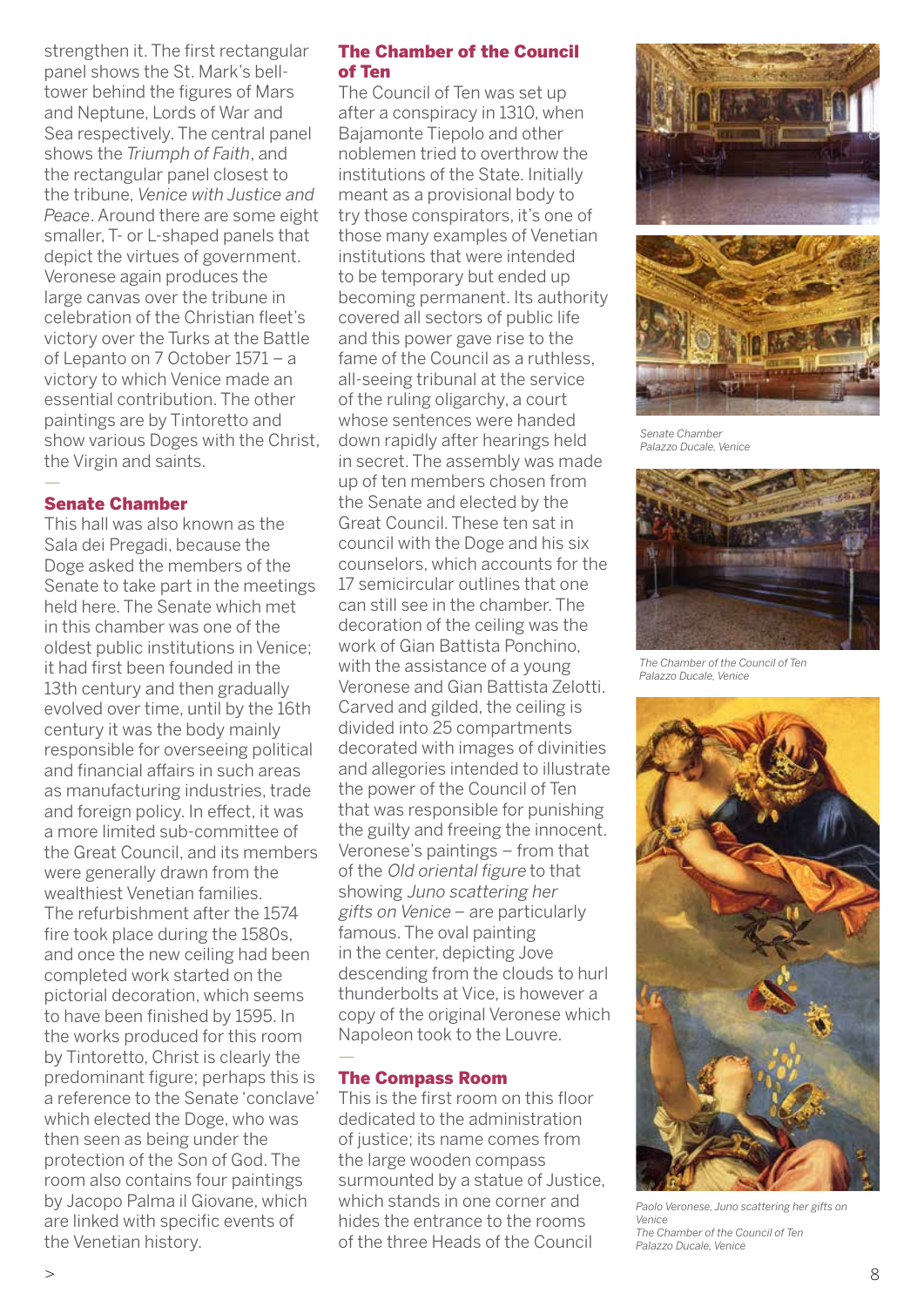strengthen it. The first rectangular panel shows the St. Mark's belltower behind the figures of Mars and Neptune, Lords of War and Sea respectively. The central panel shows the *Triumph of Faith*, and the rectangular panel closest to the tribune, *Venice with Justice and Peace*. Around there are some eight smaller, T- or L-shaped panels that depict the virtues of government. Veronese again produces the large canvas over the tribune in celebration of the Christian fleet's victory over the Turks at the Battle of Lepanto on 7 October 1571 – a victory to which Venice made an essential contribution. The other paintings are by Tintoretto and show various Doges with the Christ, the Virgin and saints.

#### — Senate Chamber

This hall was also known as the Sala dei Pregadi, because the Doge asked the members of the Senate to take part in the meetings held here. The Senate which met in this chamber was one of the oldest public institutions in Venice; it had first been founded in the 13th century and then gradually evolved over time, until by the 16th century it was the body mainly responsible for overseeing political and financial affairs in such areas as manufacturing industries, trade and foreign policy. In effect, it was a more limited sub-committee of the Great Council, and its members were generally drawn from the wealthiest Venetian families. The refurbishment after the 1574 fire took place during the 1580s, and once the new ceiling had been completed work started on the pictorial decoration, which seems to have been finished by 1595. In the works produced for this room by Tintoretto, Christ is clearly the predominant figure; perhaps this is a reference to the Senate 'conclave' which elected the Doge, who was then seen as being under the protection of the Son of God. The room also contains four paintings by Jacopo Palma il Giovane, which are linked with specific events of the Venetian history.

#### The Chamber of the Council of Ten

The Council of Ten was set up after a conspiracy in 1310, when Bajamonte Tiepolo and other noblemen tried to overthrow the institutions of the State. Initially meant as a provisional body to try those conspirators, it's one of those many examples of Venetian institutions that were intended to be temporary but ended up becoming permanent. Its authority covered all sectors of public life and this power gave rise to the fame of the Council as a ruthless, all-seeing tribunal at the service of the ruling oligarchy, a court whose sentences were handed down rapidly after hearings held in secret. The assembly was made up of ten members chosen from the Senate and elected by the Great Council. These ten sat in council with the Doge and his six counselors, which accounts for the 17 semicircular outlines that one can still see in the chamber. The decoration of the ceiling was the work of Gian Battista Ponchino, with the assistance of a young Veronese and Gian Battista Zelotti. Carved and gilded, the ceiling is divided into 25 compartments decorated with images of divinities and allegories intended to illustrate the power of the Council of Ten that was responsible for punishing the guilty and freeing the innocent. Veronese's paintings – from that of the Old oriental figure to that showing Juno scattering her gifts on Venice – are particularly famous. The oval painting in the center, depicting Jove descending from the clouds to hurl thunderbolts at Vice, is however a copy of the original Veronese which Napoleon took to the Louvre. —

#### The Compass Room

This is the first room on this floor dedicated to the administration of justice; its name comes from the large wooden compass surmounted by a statue of Justice, which stands in one corner and hides the entrance to the rooms of the three Heads of the Council





*Senate Chamber Palazzo Ducale, Venice*



*The Chamber of the Council of Ten Palazzo Ducale, Venice*



*Paolo Veronese, Juno scattering her gifts on Venice The Chamber of the Council of Ten Palazzo Ducale, Venice*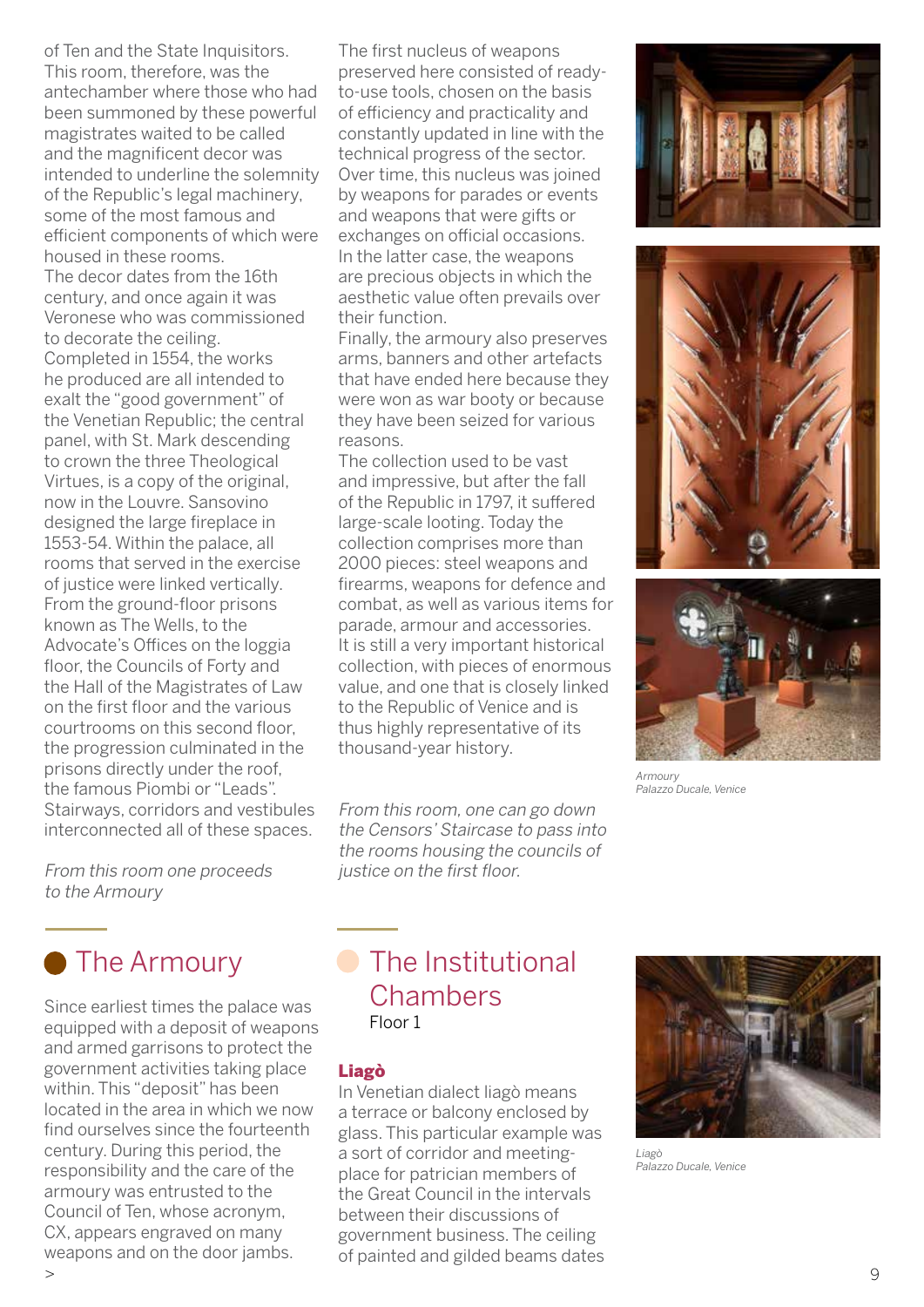of Ten and the State Inquisitors. This room, therefore, was the antechamber where those who had been summoned by these powerful magistrates waited to be called and the magnificent decor was intended to underline the solemnity of the Republic's legal machinery, some of the most famous and efficient components of which were housed in these rooms. The decor dates from the 16th century, and once again it was Veronese who was commissioned to decorate the ceiling. Completed in 1554, the works he produced are all intended to exalt the "good government" of the Venetian Republic; the central panel, with St. Mark descending to crown the three Theological Virtues, is a copy of the original, now in the Louvre. Sansovino designed the large fireplace in 1553-54. Within the palace, all rooms that served in the exercise of justice were linked vertically. From the ground-floor prisons known as The Wells, to the Advocate's Offices on the loggia floor, the Councils of Forty and the Hall of the Magistrates of Law on the first floor and the various courtrooms on this second floor, the progression culminated in the prisons directly under the roof, the famous Piombi or "Leads". Stairways, corridors and vestibules interconnected all of these spaces.

#### From this room one proceeds to the Armoury



Since earliest times the palace was equipped with a deposit of weapons and armed garrisons to protect the government activities taking place within. This "deposit" has been located in the area in which we now find ourselves since the fourteenth century. During this period, the responsibility and the care of the armoury was entrusted to the Council of Ten, whose acronym, CX, appears engraved on many weapons and on the door jambs.  $>$  9

The first nucleus of weapons preserved here consisted of readyto-use tools, chosen on the basis of efficiency and practicality and constantly updated in line with the technical progress of the sector. Over time, this nucleus was joined by weapons for parades or events and weapons that were gifts or exchanges on official occasions. In the latter case, the weapons are precious objects in which the aesthetic value often prevails over their function.

Finally, the armoury also preserves arms, banners and other artefacts that have ended here because they were won as war booty or because they have been seized for various reasons.

The collection used to be vast and impressive, but after the fall of the Republic in 1797, it suffered large-scale looting. Today the collection comprises more than 2000 pieces: steel weapons and firearms, weapons for defence and combat, as well as various items for parade, armour and accessories. It is still a very important historical collection, with pieces of enormous value, and one that is closely linked to the Republic of Venice and is thus highly representative of its thousand-year history.

From this room, one can go down the Censors' Staircase to pass into the rooms housing the councils of justice on the first floor.







*Armoury Palazzo Ducale, Venice*

## **C** The Institutional **Chambers** Floor 1

#### Liagò

In Venetian dialect liagò means a terrace or balcony enclosed by glass. This particular example was a sort of corridor and meetingplace for patrician members of the Great Council in the intervals between their discussions of government business. The ceiling of painted and gilded beams dates



*Liagò Palazzo Ducale, Venice*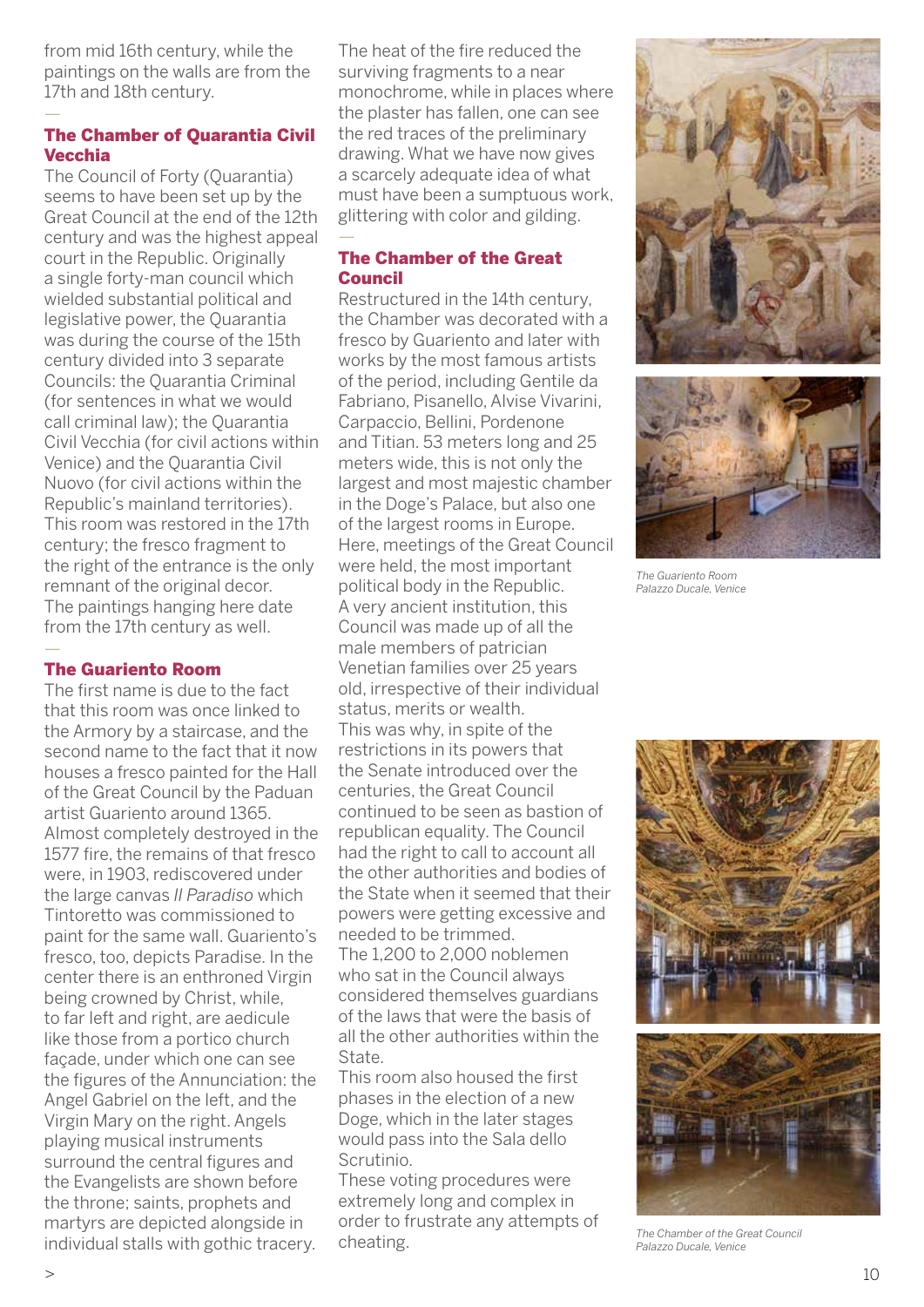from mid 16th century, while the paintings on the walls are from the 17th and 18th century.

—

#### The Chamber of Quarantia Civil Vecchia

The Council of Forty (Quarantia) seems to have been set up by the Great Council at the end of the 12th century and was the highest appeal court in the Republic. Originally a single forty-man council which wielded substantial political and legislative power, the Quarantia was during the course of the 15th century divided into 3 separate Councils: the Quarantia Criminal (for sentences in what we would call criminal law); the Quarantia Civil Vecchia (for civil actions within Venice) and the Quarantia Civil Nuovo (for civil actions within the Republic's mainland territories). This room was restored in the 17th century; the fresco fragment to the right of the entrance is the only remnant of the original decor. The paintings hanging here date from the 17th century as well.

#### The Guariento Room

—

The first name is due to the fact that this room was once linked to the Armory by a staircase, and the second name to the fact that it now houses a fresco painted for the Hall of the Great Council by the Paduan artist Guariento around 1365. Almost completely destroyed in the 1577 fire, the remains of that fresco were, in 1903, rediscovered under the large canvas *Il Paradiso* which Tintoretto was commissioned to paint for the same wall. Guariento's fresco, too, depicts Paradise. In the center there is an enthroned Virgin being crowned by Christ, while, to far left and right, are aedicule like those from a portico church façade, under which one can see the figures of the Annunciation: the Angel Gabriel on the left, and the Virgin Mary on the right. Angels playing musical instruments surround the central figures and the Evangelists are shown before the throne; saints, prophets and martyrs are depicted alongside in individual stalls with gothic tracery.

The heat of the fire reduced the surviving fragments to a near monochrome, while in places where the plaster has fallen, one can see the red traces of the preliminary drawing. What we have now gives a scarcely adequate idea of what must have been a sumptuous work, glittering with color and gilding. —

#### The Chamber of the Great Council

Restructured in the 14th century, the Chamber was decorated with a fresco by Guariento and later with works by the most famous artists of the period, including Gentile da Fabriano, Pisanello, Alvise Vivarini, Carpaccio, Bellini, Pordenone and Titian. 53 meters long and 25 meters wide, this is not only the largest and most majestic chamber in the Doge's Palace, but also one of the largest rooms in Europe. Here, meetings of the Great Council were held, the most important political body in the Republic. A very ancient institution, this Council was made up of all the male members of patrician Venetian families over 25 years old, irrespective of their individual status, merits or wealth. This was why, in spite of the restrictions in its powers that the Senate introduced over the centuries, the Great Council continued to be seen as bastion of republican equality. The Council had the right to call to account all the other authorities and bodies of the State when it seemed that their powers were getting excessive and needed to be trimmed.

The 1,200 to 2,000 noblemen who sat in the Council always considered themselves guardians of the laws that were the basis of all the other authorities within the State.

This room also housed the first phases in the election of a new Doge, which in the later stages would pass into the Sala dello Scrutinio.

These voting procedures were extremely long and complex in order to frustrate any attempts of cheating.





*The Guariento Room Palazzo Ducale, Venice*



*The Chamber of the Great Council Palazzo Ducale, Venice*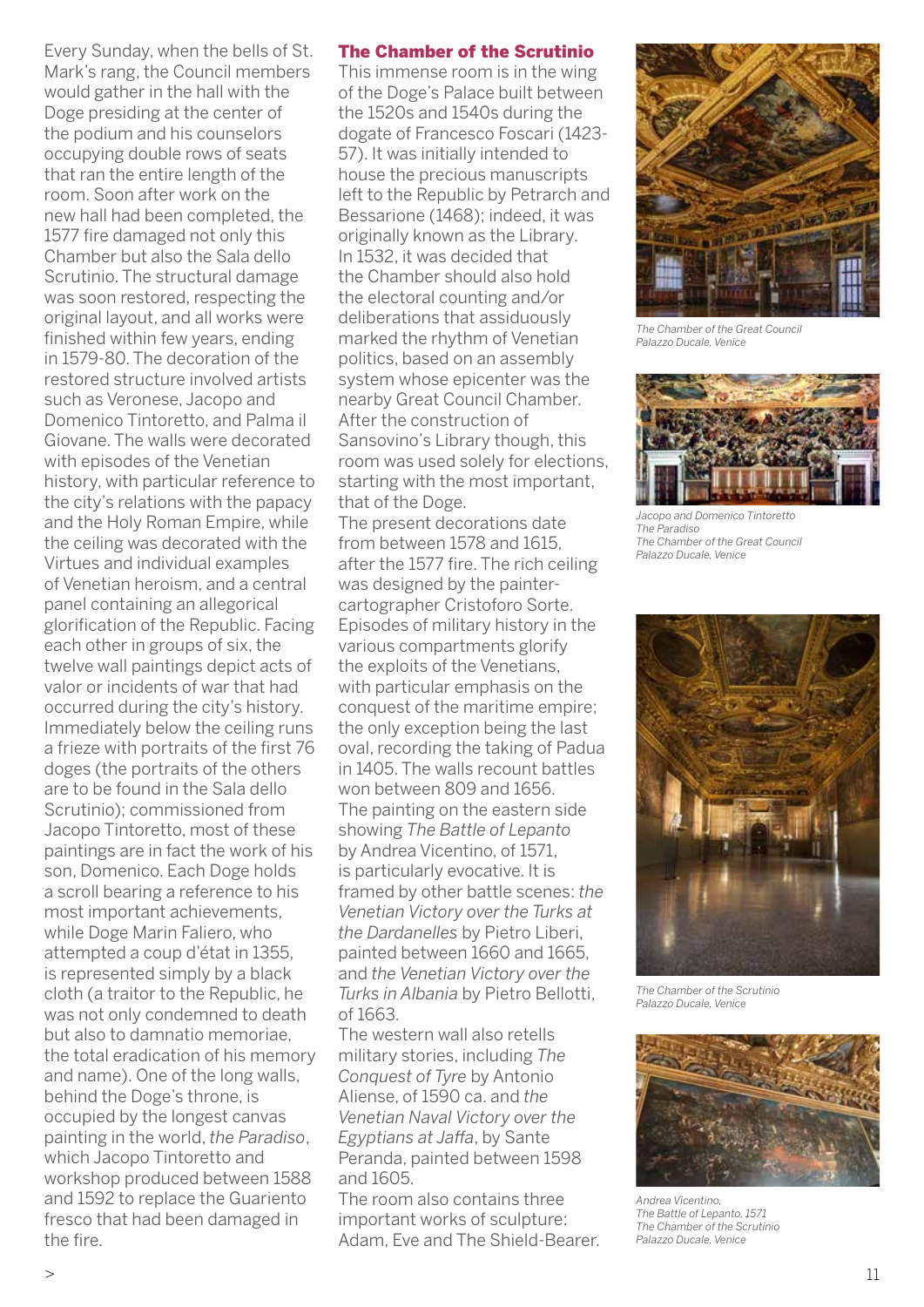Every Sunday, when the bells of St. Mark's rang, the Council members would gather in the hall with the Doge presiding at the center of the podium and his counselors occupying double rows of seats that ran the entire length of the room. Soon after work on the new hall had been completed, the 1577 fire damaged not only this Chamber but also the Sala dello Scrutinio. The structural damage was soon restored, respecting the original layout, and all works were finished within few years, ending in 1579-80. The decoration of the restored structure involved artists such as Veronese, Jacopo and Domenico Tintoretto, and Palma il Giovane. The walls were decorated with episodes of the Venetian history, with particular reference to the city's relations with the papacy and the Holy Roman Empire, while the ceiling was decorated with the Virtues and individual examples of Venetian heroism, and a central panel containing an allegorical glorification of the Republic. Facing each other in groups of six, the twelve wall paintings depict acts of valor or incidents of war that had occurred during the city's history. Immediately below the ceiling runs a frieze with portraits of the first 76 doges (the portraits of the others are to be found in the Sala dello Scrutinio); commissioned from Jacopo Tintoretto, most of these paintings are in fact the work of his son, Domenico. Each Doge holds a scroll bearing a reference to his most important achievements, while Doge Marin Faliero, who attempted a coup d'état in 1355, is represented simply by a black cloth (a traitor to the Republic, he was not only condemned to death but also to damnatio memoriae, the total eradication of his memory and name). One of the long walls, behind the Doge's throne, is occupied by the longest canvas painting in the world, *the Paradiso*, which Jacopo Tintoretto and workshop produced between 1588 and 1592 to replace the Guariento fresco that had been damaged in the fire.

#### The Chamber of the Scrutinio

This immense room is in the wing of the Doge's Palace built between the 1520s and 1540s during the dogate of Francesco Foscari (1423- 57). It was initially intended to house the precious manuscripts left to the Republic by Petrarch and Bessarione (1468); indeed, it was originally known as the Library. In 1532, it was decided that the Chamber should also hold the electoral counting and/or deliberations that assiduously marked the rhythm of Venetian politics, based on an assembly system whose epicenter was the nearby Great Council Chamber. After the construction of Sansovino's Library though, this room was used solely for elections, starting with the most important, that of the Doge.

The present decorations date from between 1578 and 1615, after the 1577 fire. The rich ceiling was designed by the paintercartographer Cristoforo Sorte. Episodes of military history in the various compartments glorify the exploits of the Venetians, with particular emphasis on the conquest of the maritime empire; the only exception being the last oval, recording the taking of Padua in 1405. The walls recount battles won between 809 and 1656. The painting on the eastern side showing *The Battle of Lepanto* by Andrea Vicentino, of 1571, is particularly evocative. It is framed by other battle scenes: *the Venetian Victory over the Turks at the Dardanelles* by Pietro Liberi, painted between 1660 and 1665, and *the Venetian Victory over the Turks in Albania* by Pietro Bellotti, of 1663.

The western wall also retells military stories, including *The Conquest of Tyre* by Antonio Aliense, of 1590 ca. and *the Venetian Naval Victory over the Egyptians at Jaffa*, by Sante Peranda, painted between 1598 and 1605.

The room also contains three important works of sculpture: Adam, Eve and The Shield-Bearer.



*The Chamber of the Great Council Palazzo Ducale, Venice*



*Jacopo and Domenico Tintoretto The Paradiso The Chamber of the Great Council Palazzo Ducale, Venice*



*The Chamber of the Scrutinio Palazzo Ducale, Venice*



*Andrea Vicentino, The Battle of Lepanto, 1571 The Chamber of the Scrutinio Palazzo Ducale, Venice*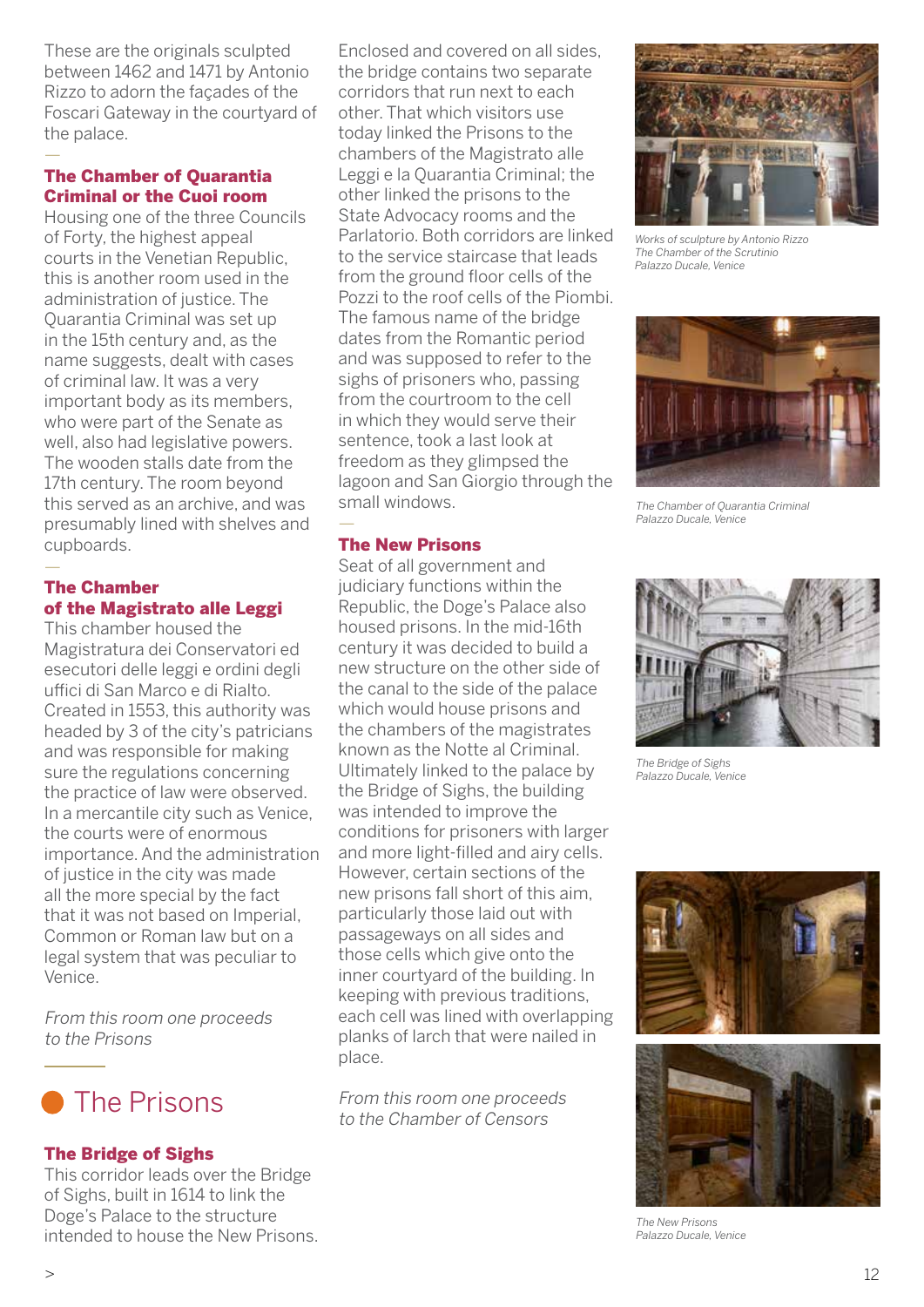These are the originals sculpted between 1462 and 1471 by Antonio Rizzo to adorn the façades of the Foscari Gateway in the courtyard of the palace.

#### The Chamber of Quarantia Criminal or the Cuoi room

—

Housing one of the three Councils of Forty, the highest appeal courts in the Venetian Republic, this is another room used in the administration of justice. The Quarantia Criminal was set up in the 15th century and, as the name suggests, dealt with cases of criminal law. It was a very important body as its members, who were part of the Senate as well, also had legislative powers. The wooden stalls date from the 17th century. The room beyond this served as an archive, and was presumably lined with shelves and cupboards.

#### — The Chamber of the Magistrato alle Leggi

This chamber housed the Magistratura dei Conservatori ed esecutori delle leggi e ordini degli uffici di San Marco e di Rialto. Created in 1553, this authority was headed by 3 of the city's patricians and was responsible for making sure the regulations concerning the practice of law were observed. In a mercantile city such as Venice, the courts were of enormous importance. And the administration of justice in the city was made all the more special by the fact that it was not based on Imperial, Common or Roman law but on a legal system that was peculiar to Venice.

From this room one proceeds to the Prisons

# **The Prisons**

#### The Bridge of Sighs

This corridor leads over the Bridge of Sighs, built in 1614 to link the Doge's Palace to the structure intended to house the New Prisons.

Enclosed and covered on all sides, the bridge contains two separate corridors that run next to each other. That which visitors use today linked the Prisons to the chambers of the Magistrato alle Leggi e la Quarantia Criminal; the other linked the prisons to the State Advocacy rooms and the Parlatorio. Both corridors are linked to the service staircase that leads from the ground floor cells of the Pozzi to the roof cells of the Piombi. The famous name of the bridge dates from the Romantic period and was supposed to refer to the sighs of prisoners who, passing from the courtroom to the cell in which they would serve their sentence, took a last look at freedom as they glimpsed the lagoon and San Giorgio through the small windows.

#### — The New Prisons

Seat of all government and judiciary functions within the Republic, the Doge's Palace also housed prisons. In the mid-16th century it was decided to build a new structure on the other side of the canal to the side of the palace which would house prisons and the chambers of the magistrates known as the Notte al Criminal. Ultimately linked to the palace by the Bridge of Sighs, the building was intended to improve the conditions for prisoners with larger and more light-filled and airy cells. However, certain sections of the new prisons fall short of this aim, particularly those laid out with passageways on all sides and those cells which give onto the inner courtyard of the building. In keeping with previous traditions, each cell was lined with overlapping planks of larch that were nailed in place.

From this room one proceeds to the Chamber of Censors



*Works of sculpture by Antonio Rizzo The Chamber of the Scrutinio Palazzo Ducale, Venice*



*The Chamber of Quarantia Criminal Palazzo Ducale, Venice*



*The Bridge of Sighs Palazzo Ducale, Venice*



*The New Prisons Palazzo Ducale, Venice*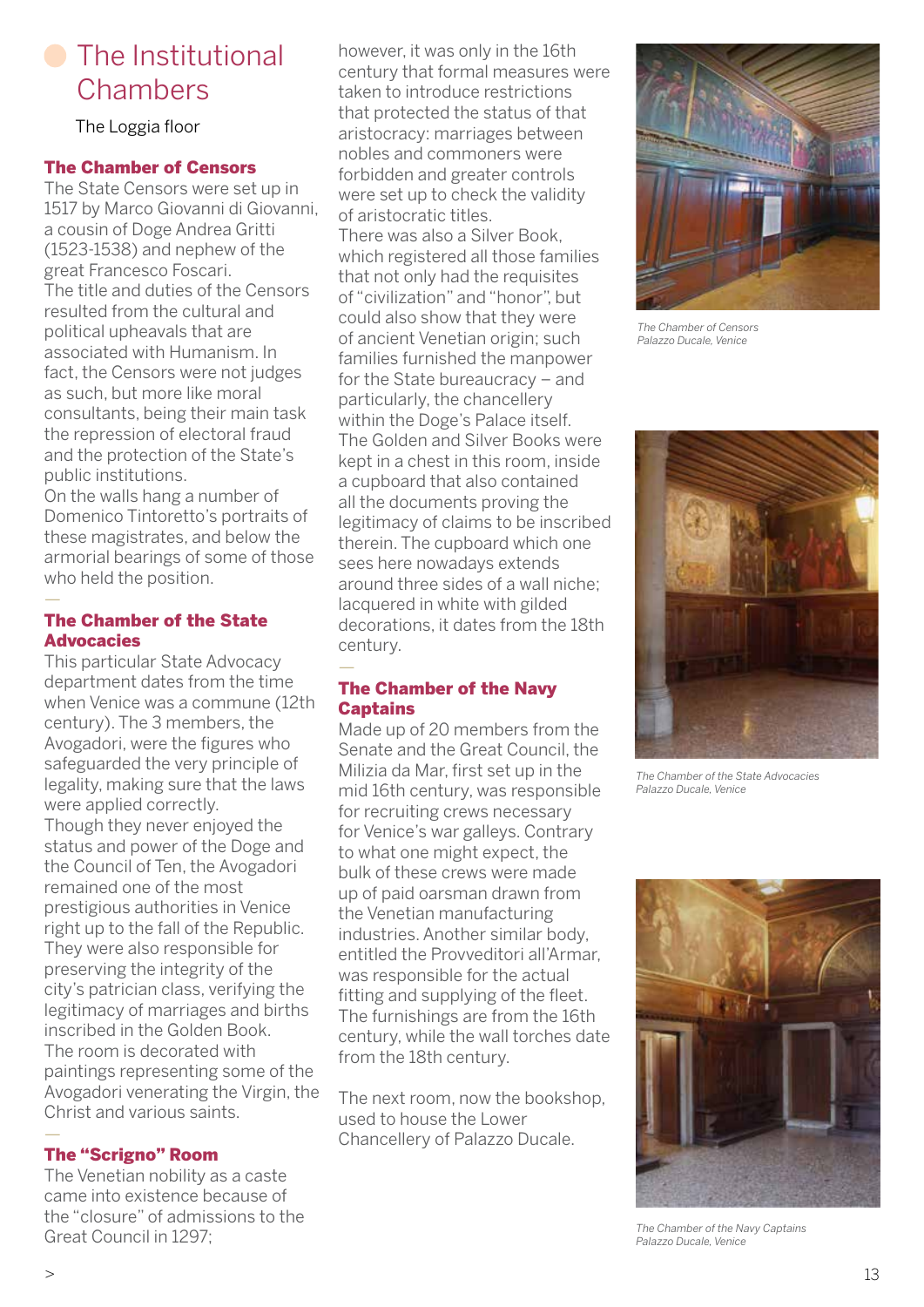# **C** The Institutional **Chambers**

The Loggia floor

#### The Chamber of Censors

The State Censors were set up in 1517 by Marco Giovanni di Giovanni, a cousin of Doge Andrea Gritti (1523-1538) and nephew of the great Francesco Foscari. The title and duties of the Censors resulted from the cultural and political upheavals that are associated with Humanism. In fact, the Censors were not judges as such, but more like moral consultants, being their main task the repression of electoral fraud and the protection of the State's public institutions.

On the walls hang a number of Domenico Tintoretto's portraits of these magistrates, and below the armorial bearings of some of those who held the position.

#### The Chamber of the State **Advocacies**

—

This particular State Advocacy department dates from the time when Venice was a commune (12th century). The 3 members, the Avogadori, were the figures who safeguarded the very principle of legality, making sure that the laws were applied correctly. Though they never enjoyed the status and power of the Doge and the Council of Ten, the Avogadori remained one of the most prestigious authorities in Venice right up to the fall of the Republic. They were also responsible for preserving the integrity of the city's patrician class, verifying the legitimacy of marriages and births inscribed in the Golden Book. The room is decorated with paintings representing some of the Avogadori venerating the Virgin, the Christ and various saints.

#### — The "Scrigno" Room

The Venetian nobility as a caste came into existence because of the "closure" of admissions to the Great Council in 1297;

however, it was only in the 16th century that formal measures were taken to introduce restrictions that protected the status of that aristocracy: marriages between nobles and commoners were forbidden and greater controls were set up to check the validity of aristocratic titles. There was also a Silver Book, which registered all those families that not only had the requisites of "civilization" and "honor", but could also show that they were of ancient Venetian origin; such families furnished the manpower for the State bureaucracy – and particularly, the chancellery within the Doge's Palace itself. The Golden and Silver Books were kept in a chest in this room, inside a cupboard that also contained all the documents proving the legitimacy of claims to be inscribed therein. The cupboard which one sees here nowadays extends around three sides of a wall niche; lacquered in white with gilded decorations, it dates from the 18th century.

#### — The Chamber of the Navy **Captains**

Made up of 20 members from the Senate and the Great Council, the Milizia da Mar, first set up in the mid 16th century, was responsible for recruiting crews necessary for Venice's war galleys. Contrary to what one might expect, the bulk of these crews were made up of paid oarsman drawn from the Venetian manufacturing industries. Another similar body, entitled the Provveditori all'Armar, was responsible for the actual fitting and supplying of the fleet. The furnishings are from the 16th century, while the wall torches date from the 18th century.

The next room, now the bookshop, used to house the Lower Chancellery of Palazzo Ducale.



*The Chamber of Censors Palazzo Ducale, Venice*



*The Chamber of the State Advocacies Palazzo Ducale, Venice*



*The Chamber of the Navy Captains Palazzo Ducale, Venice*